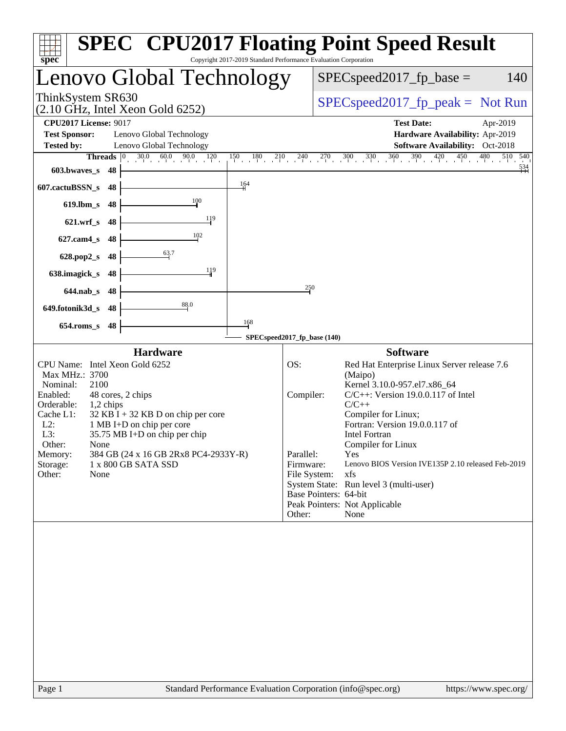| Copyright 2017-2019 Standard Performance Evaluation Corporation<br>$spec^*$                                                                                                                                                                                                                                                                                                                                                 | <b>SPEC<sup>®</sup> CPU2017 Floating Point Speed Result</b>                                                                                                                                                                                                                                                                                                                                                                                                                                                                  |
|-----------------------------------------------------------------------------------------------------------------------------------------------------------------------------------------------------------------------------------------------------------------------------------------------------------------------------------------------------------------------------------------------------------------------------|------------------------------------------------------------------------------------------------------------------------------------------------------------------------------------------------------------------------------------------------------------------------------------------------------------------------------------------------------------------------------------------------------------------------------------------------------------------------------------------------------------------------------|
| Lenovo Global Technology                                                                                                                                                                                                                                                                                                                                                                                                    | $SPEC speed2017_fp\_base =$<br>140                                                                                                                                                                                                                                                                                                                                                                                                                                                                                           |
| ThinkSystem SR630<br>$(2.10 \text{ GHz}, \text{Intel Xeon Gold } 6252)$                                                                                                                                                                                                                                                                                                                                                     | $SPEC speed2017fp peak = Not Run$                                                                                                                                                                                                                                                                                                                                                                                                                                                                                            |
| <b>CPU2017 License: 9017</b><br><b>Test Sponsor:</b><br>Lenovo Global Technology<br>Lenovo Global Technology<br><b>Tested by:</b>                                                                                                                                                                                                                                                                                           | <b>Test Date:</b><br>Apr-2019<br>Hardware Availability: Apr-2019<br>Software Availability: Oct-2018                                                                                                                                                                                                                                                                                                                                                                                                                          |
| <b>Threads</b> $\begin{bmatrix} 0 & 30.0 & 60.0 & 90.0 \end{bmatrix}$<br>120<br>$150 \t 180 \t 210 \t 240$<br>603.bwaves_s<br>48                                                                                                                                                                                                                                                                                            | $270$ $300$ $330$ $360$ $390$<br>$420 \t 450$<br>$^{480}$<br>510 540<br>$\frac{534}{4}$                                                                                                                                                                                                                                                                                                                                                                                                                                      |
| $\frac{164}{ }$<br>607.cactuBSSN_s<br>48<br>100<br>$619$ .lbm_s<br>48                                                                                                                                                                                                                                                                                                                                                       |                                                                                                                                                                                                                                                                                                                                                                                                                                                                                                                              |
| 119<br>48<br>$621.wrf$ <sub>S</sub><br>102<br>48<br>$627$ .cam4 s                                                                                                                                                                                                                                                                                                                                                           |                                                                                                                                                                                                                                                                                                                                                                                                                                                                                                                              |
| $\frac{63}{7}$<br>48<br>$628.pop2_s$<br>119<br>638.imagick_s<br>48                                                                                                                                                                                                                                                                                                                                                          |                                                                                                                                                                                                                                                                                                                                                                                                                                                                                                                              |
| $644$ .nab s<br>48<br>88.0                                                                                                                                                                                                                                                                                                                                                                                                  | 250                                                                                                                                                                                                                                                                                                                                                                                                                                                                                                                          |
| 649.fotonik3d_s<br>48<br>$\frac{168}{1}$<br>$654$ .roms_s<br>48                                                                                                                                                                                                                                                                                                                                                             |                                                                                                                                                                                                                                                                                                                                                                                                                                                                                                                              |
|                                                                                                                                                                                                                                                                                                                                                                                                                             | SPECspeed2017_fp_base (140)                                                                                                                                                                                                                                                                                                                                                                                                                                                                                                  |
| <b>Hardware</b><br>CPU Name: Intel Xeon Gold 6252<br>Max MHz.: 3700<br>Nominal:<br>2100<br>Enabled:<br>48 cores, 2 chips<br>Orderable:<br>1,2 chips<br>Cache L1:<br>$32$ KB I + 32 KB D on chip per core<br>$L2$ :<br>1 MB I+D on chip per core<br>L3:<br>$35.75 \text{ MB I+D}$ on chip per chip<br>Other:<br>None<br>384 GB (24 x 16 GB 2Rx8 PC4-2933Y-R)<br>Memory:<br>Storage:<br>1 x 800 GB SATA SSD<br>Other:<br>None | <b>Software</b><br>OS:<br>Red Hat Enterprise Linux Server release 7.6<br>(Maipo)<br>Kernel 3.10.0-957.el7.x86_64<br>$C/C++$ : Version 19.0.0.117 of Intel<br>Compiler:<br>$C/C++$<br>Compiler for Linux;<br>Fortran: Version 19.0.0.117 of<br><b>Intel Fortran</b><br>Compiler for Linux<br>Parallel:<br>Yes<br>Firmware:<br>Lenovo BIOS Version IVE135P 2.10 released Feb-2019<br>xfs<br>File System:<br>System State: Run level 3 (multi-user)<br>Base Pointers: 64-bit<br>Peak Pointers: Not Applicable<br>Other:<br>None |
|                                                                                                                                                                                                                                                                                                                                                                                                                             |                                                                                                                                                                                                                                                                                                                                                                                                                                                                                                                              |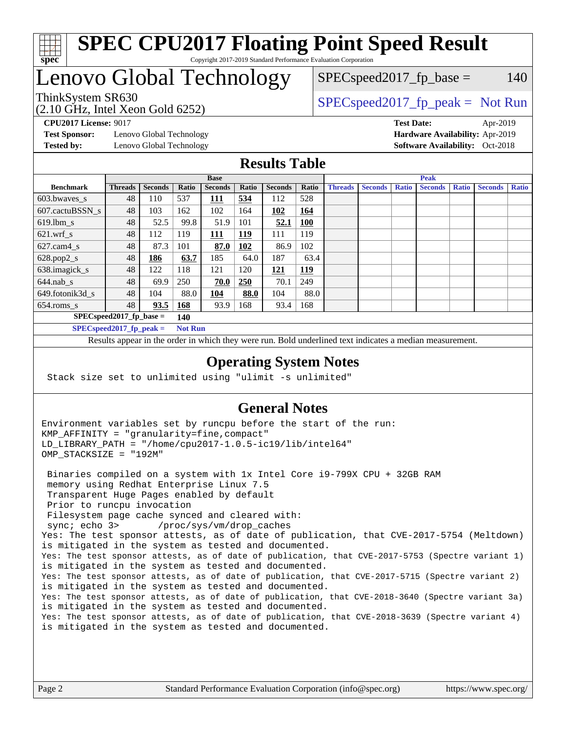

#### **[SPEC CPU2017 Floating Point Speed Result](http://www.spec.org/auto/cpu2017/Docs/result-fields.html#SPECCPU2017FloatingPointSpeedResult)** Copyright 2017-2019 Standard Performance Evaluation Corporation

# Lenovo Global Technology

(2.10 GHz, Intel Xeon Gold 6252)

ThinkSystem SR630  $SPEC speed2017_f p_peak = Not Run$ 

 $SPEC speed2017<sub>fp</sub> base = 140$ 

**[Test Sponsor:](http://www.spec.org/auto/cpu2017/Docs/result-fields.html#TestSponsor)** Lenovo Global Technology **[Hardware Availability:](http://www.spec.org/auto/cpu2017/Docs/result-fields.html#HardwareAvailability)** Apr-2019 **[Tested by:](http://www.spec.org/auto/cpu2017/Docs/result-fields.html#Testedby)** Lenovo Global Technology **[Software Availability:](http://www.spec.org/auto/cpu2017/Docs/result-fields.html#SoftwareAvailability)** Oct-2018

**[CPU2017 License:](http://www.spec.org/auto/cpu2017/Docs/result-fields.html#CPU2017License)** 9017 **[Test Date:](http://www.spec.org/auto/cpu2017/Docs/result-fields.html#TestDate)** Apr-2019

#### **[Results Table](http://www.spec.org/auto/cpu2017/Docs/result-fields.html#ResultsTable)**

|                                   | <b>Base</b>                |                |                |                |            | <b>Peak</b>    |            |                |                |              |                |              |                |              |
|-----------------------------------|----------------------------|----------------|----------------|----------------|------------|----------------|------------|----------------|----------------|--------------|----------------|--------------|----------------|--------------|
| <b>Benchmark</b>                  | <b>Threads</b>             | <b>Seconds</b> | Ratio          | <b>Seconds</b> | Ratio      | <b>Seconds</b> | Ratio      | <b>Threads</b> | <b>Seconds</b> | <b>Ratio</b> | <b>Seconds</b> | <b>Ratio</b> | <b>Seconds</b> | <b>Ratio</b> |
| $603.bwaves$ s                    | 48                         | 110            | 537            | 111            | 534        | 112            | 528        |                |                |              |                |              |                |              |
| 607.cactuBSSN s                   | 48                         | 103            | 162            | 102            | 164        | 102            | 164        |                |                |              |                |              |                |              |
| $619.$ lbm_s                      | 48                         | 52.5           | 99.8           | 51.9           | 101        | 52.1           | <b>100</b> |                |                |              |                |              |                |              |
| $621.wrf$ s                       | 48                         | 112            | 119            | 111            | <b>119</b> | 111            | 119        |                |                |              |                |              |                |              |
| $627$ .cam4 s                     | 48                         | 87.3           | 101            | 87.0           | 102        | 86.9           | 102        |                |                |              |                |              |                |              |
| $628.pop2_s$                      | 48                         | 186            | 63.7           | 185            | 64.0       | 187            | 63.4       |                |                |              |                |              |                |              |
| 638.imagick_s                     | 48                         | 122            | 118            | 121            | 120        | 121            | 119        |                |                |              |                |              |                |              |
| $644$ .nab s                      | 48                         | 69.9           | 250            | 70.0           | 250        | 70.1           | 249        |                |                |              |                |              |                |              |
| 649.fotonik3d s                   | 48                         | 104            | 88.0           | 104            | 88.0       | 104            | 88.0       |                |                |              |                |              |                |              |
| $654$ .roms s                     | 48                         | 93.5           | <b>168</b>     | 93.9           | 168        | 93.4           | 168        |                |                |              |                |              |                |              |
| $SPEC speed2017$ fp base =<br>140 |                            |                |                |                |            |                |            |                |                |              |                |              |                |              |
|                                   | SPECspeed 2017 fp peak $=$ |                | <b>Not Run</b> |                |            |                |            |                |                |              |                |              |                |              |

Results appear in the [order in which they were run.](http://www.spec.org/auto/cpu2017/Docs/result-fields.html#RunOrder) Bold underlined text [indicates a median measurement](http://www.spec.org/auto/cpu2017/Docs/result-fields.html#Median).

#### **[Operating System Notes](http://www.spec.org/auto/cpu2017/Docs/result-fields.html#OperatingSystemNotes)**

Stack size set to unlimited using "ulimit -s unlimited"

### **[General Notes](http://www.spec.org/auto/cpu2017/Docs/result-fields.html#GeneralNotes)**

Environment variables set by runcpu before the start of the run: KMP\_AFFINITY = "granularity=fine,compact" LD\_LIBRARY\_PATH = "/home/cpu2017-1.0.5-ic19/lib/intel64" OMP\_STACKSIZE = "192M"

 Binaries compiled on a system with 1x Intel Core i9-799X CPU + 32GB RAM memory using Redhat Enterprise Linux 7.5 Transparent Huge Pages enabled by default Prior to runcpu invocation Filesystem page cache synced and cleared with: sync; echo 3> /proc/sys/vm/drop\_caches Yes: The test sponsor attests, as of date of publication, that CVE-2017-5754 (Meltdown) is mitigated in the system as tested and documented. Yes: The test sponsor attests, as of date of publication, that CVE-2017-5753 (Spectre variant 1) is mitigated in the system as tested and documented. Yes: The test sponsor attests, as of date of publication, that CVE-2017-5715 (Spectre variant 2) is mitigated in the system as tested and documented. Yes: The test sponsor attests, as of date of publication, that CVE-2018-3640 (Spectre variant 3a) is mitigated in the system as tested and documented. Yes: The test sponsor attests, as of date of publication, that CVE-2018-3639 (Spectre variant 4) is mitigated in the system as tested and documented.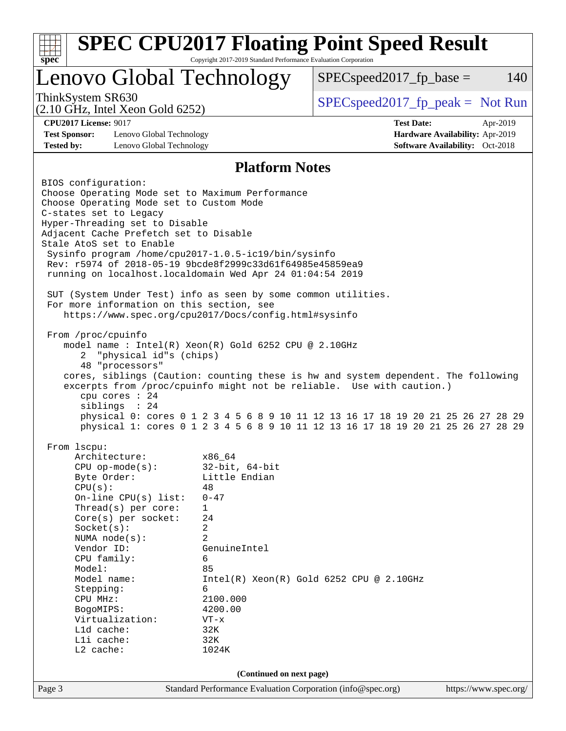| <b>SPEC CPU2017 Floating Point Speed Result</b><br>Copyright 2017-2019 Standard Performance Evaluation Corporation<br>$spec^*$                                       |                                            |  |                                    |          |  |
|----------------------------------------------------------------------------------------------------------------------------------------------------------------------|--------------------------------------------|--|------------------------------------|----------|--|
| Lenovo Global Technology                                                                                                                                             |                                            |  | $SPEC speed2017fp base =$          | 140      |  |
| ThinkSystem SR630<br>$(2.10 \text{ GHz}, \text{Intel Xeon Gold } 6252)$                                                                                              |                                            |  | $SPEC speed2017rfp peak = Not Run$ |          |  |
| <b>CPU2017 License: 9017</b>                                                                                                                                         |                                            |  | <b>Test Date:</b>                  | Apr-2019 |  |
| <b>Test Sponsor:</b><br>Lenovo Global Technology                                                                                                                     |                                            |  | Hardware Availability: Apr-2019    |          |  |
| <b>Tested by:</b><br>Lenovo Global Technology                                                                                                                        |                                            |  | Software Availability: Oct-2018    |          |  |
|                                                                                                                                                                      | <b>Platform Notes</b>                      |  |                                    |          |  |
| BIOS configuration:                                                                                                                                                  |                                            |  |                                    |          |  |
| Choose Operating Mode set to Maximum Performance                                                                                                                     |                                            |  |                                    |          |  |
| Choose Operating Mode set to Custom Mode                                                                                                                             |                                            |  |                                    |          |  |
| C-states set to Legacy                                                                                                                                               |                                            |  |                                    |          |  |
| Hyper-Threading set to Disable<br>Adjacent Cache Prefetch set to Disable                                                                                             |                                            |  |                                    |          |  |
| Stale AtoS set to Enable                                                                                                                                             |                                            |  |                                    |          |  |
| Sysinfo program /home/cpu2017-1.0.5-ic19/bin/sysinfo                                                                                                                 |                                            |  |                                    |          |  |
| Rev: r5974 of 2018-05-19 9bcde8f2999c33d61f64985e45859ea9                                                                                                            |                                            |  |                                    |          |  |
| running on localhost.localdomain Wed Apr 24 01:04:54 2019                                                                                                            |                                            |  |                                    |          |  |
| SUT (System Under Test) info as seen by some common utilities.                                                                                                       |                                            |  |                                    |          |  |
| For more information on this section, see                                                                                                                            |                                            |  |                                    |          |  |
| https://www.spec.org/cpu2017/Docs/config.html#sysinfo                                                                                                                |                                            |  |                                    |          |  |
|                                                                                                                                                                      |                                            |  |                                    |          |  |
| From /proc/cpuinfo                                                                                                                                                   |                                            |  |                                    |          |  |
| model name : Intel(R) Xeon(R) Gold 6252 CPU @ 2.10GHz<br>"physical id"s (chips)<br>$\mathbf{2}$                                                                      |                                            |  |                                    |          |  |
| 48 "processors"                                                                                                                                                      |                                            |  |                                    |          |  |
| cores, siblings (Caution: counting these is hw and system dependent. The following                                                                                   |                                            |  |                                    |          |  |
| excerpts from /proc/cpuinfo might not be reliable. Use with caution.)                                                                                                |                                            |  |                                    |          |  |
| cpu cores $: 24$                                                                                                                                                     |                                            |  |                                    |          |  |
| siblings : 24                                                                                                                                                        |                                            |  |                                    |          |  |
| physical 0: cores 0 1 2 3 4 5 6 8 9 10 11 12 13 16 17 18 19 20 21 25 26 27 28 29<br>physical 1: cores 0 1 2 3 4 5 6 8 9 10 11 12 13 16 17 18 19 20 21 25 26 27 28 29 |                                            |  |                                    |          |  |
|                                                                                                                                                                      |                                            |  |                                    |          |  |
| From 1scpu:                                                                                                                                                          |                                            |  |                                    |          |  |
| Architecture:                                                                                                                                                        | x86_64                                     |  |                                    |          |  |
| $CPU$ op-mode( $s$ ):                                                                                                                                                |                                            |  |                                    |          |  |
|                                                                                                                                                                      | $32$ -bit, $64$ -bit                       |  |                                    |          |  |
| Byte Order:                                                                                                                                                          | Little Endian                              |  |                                    |          |  |
| CPU(s):                                                                                                                                                              | 48<br>$0 - 47$                             |  |                                    |          |  |
| On-line $CPU(s)$ list:<br>Thread(s) per core:                                                                                                                        | 1                                          |  |                                    |          |  |
| Core(s) per socket:                                                                                                                                                  | 24                                         |  |                                    |          |  |
| Socket(s):                                                                                                                                                           | 2                                          |  |                                    |          |  |
| NUMA $node(s)$ :                                                                                                                                                     | 2                                          |  |                                    |          |  |
| Vendor ID:                                                                                                                                                           | GenuineIntel                               |  |                                    |          |  |
| CPU family:<br>Model:                                                                                                                                                | 6<br>85                                    |  |                                    |          |  |
| Model name:                                                                                                                                                          | $Intel(R) Xeon(R) Gold 6252 CPU @ 2.10GHz$ |  |                                    |          |  |
| Stepping:                                                                                                                                                            | 6                                          |  |                                    |          |  |
| CPU MHz:                                                                                                                                                             | 2100.000                                   |  |                                    |          |  |
| BogoMIPS:                                                                                                                                                            | 4200.00                                    |  |                                    |          |  |
| Virtualization:<br>L1d cache:                                                                                                                                        | $VT - x$<br>32K                            |  |                                    |          |  |
| Lli cache:                                                                                                                                                           | 32K                                        |  |                                    |          |  |
| L2 cache:                                                                                                                                                            | 1024K                                      |  |                                    |          |  |
|                                                                                                                                                                      | (Continued on next page)                   |  |                                    |          |  |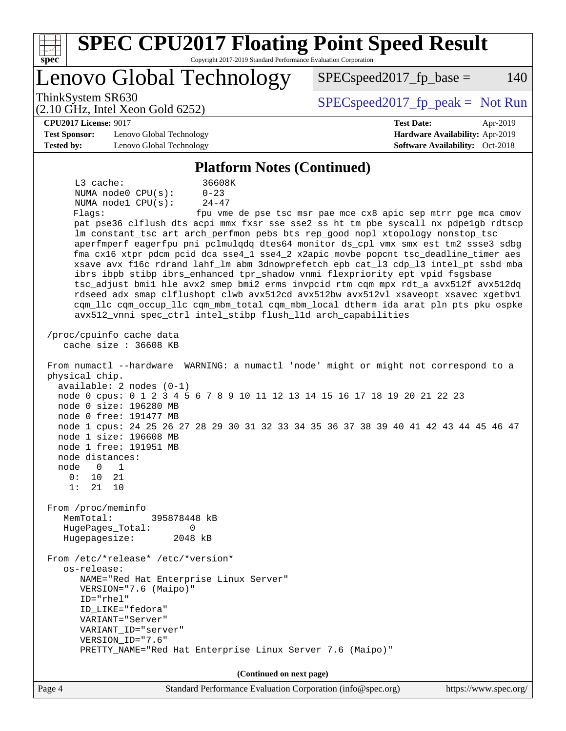| <b>SPEC CPU2017 Floating Point Speed Result</b><br>Copyright 2017-2019 Standard Performance Evaluation Corporation<br>spec <sup>®</sup>                                                                                                                                                                                                                                                                                                                                                                                                                                                                                                                                                                                                                                                                                                                                                                                                                                                                                                                                                                                                                                                                                                                                                                                                                                                                                                                                                                                                                                                                                                                                                                                                                                                                                                                                                                                |                                                               |
|------------------------------------------------------------------------------------------------------------------------------------------------------------------------------------------------------------------------------------------------------------------------------------------------------------------------------------------------------------------------------------------------------------------------------------------------------------------------------------------------------------------------------------------------------------------------------------------------------------------------------------------------------------------------------------------------------------------------------------------------------------------------------------------------------------------------------------------------------------------------------------------------------------------------------------------------------------------------------------------------------------------------------------------------------------------------------------------------------------------------------------------------------------------------------------------------------------------------------------------------------------------------------------------------------------------------------------------------------------------------------------------------------------------------------------------------------------------------------------------------------------------------------------------------------------------------------------------------------------------------------------------------------------------------------------------------------------------------------------------------------------------------------------------------------------------------------------------------------------------------------------------------------------------------|---------------------------------------------------------------|
| Lenovo Global Technology                                                                                                                                                                                                                                                                                                                                                                                                                                                                                                                                                                                                                                                                                                                                                                                                                                                                                                                                                                                                                                                                                                                                                                                                                                                                                                                                                                                                                                                                                                                                                                                                                                                                                                                                                                                                                                                                                               | $SPEC speed2017fr base =$<br>140                              |
| ThinkSystem SR630<br>$(2.10 \text{ GHz}, \text{Intel Xeon Gold } 6252)$                                                                                                                                                                                                                                                                                                                                                                                                                                                                                                                                                                                                                                                                                                                                                                                                                                                                                                                                                                                                                                                                                                                                                                                                                                                                                                                                                                                                                                                                                                                                                                                                                                                                                                                                                                                                                                                | $SPEC speed2017_fp\_peak = Not Run$                           |
| <b>CPU2017 License: 9017</b>                                                                                                                                                                                                                                                                                                                                                                                                                                                                                                                                                                                                                                                                                                                                                                                                                                                                                                                                                                                                                                                                                                                                                                                                                                                                                                                                                                                                                                                                                                                                                                                                                                                                                                                                                                                                                                                                                           | <b>Test Date:</b><br>Apr-2019                                 |
| <b>Test Sponsor:</b><br>Lenovo Global Technology                                                                                                                                                                                                                                                                                                                                                                                                                                                                                                                                                                                                                                                                                                                                                                                                                                                                                                                                                                                                                                                                                                                                                                                                                                                                                                                                                                                                                                                                                                                                                                                                                                                                                                                                                                                                                                                                       | Hardware Availability: Apr-2019                               |
| <b>Tested by:</b><br>Lenovo Global Technology                                                                                                                                                                                                                                                                                                                                                                                                                                                                                                                                                                                                                                                                                                                                                                                                                                                                                                                                                                                                                                                                                                                                                                                                                                                                                                                                                                                                                                                                                                                                                                                                                                                                                                                                                                                                                                                                          | <b>Software Availability:</b> Oct-2018                        |
| <b>Platform Notes (Continued)</b>                                                                                                                                                                                                                                                                                                                                                                                                                                                                                                                                                                                                                                                                                                                                                                                                                                                                                                                                                                                                                                                                                                                                                                                                                                                                                                                                                                                                                                                                                                                                                                                                                                                                                                                                                                                                                                                                                      |                                                               |
| 36608K<br>$L3$ cache:<br>NUMA node0 CPU(s):<br>$0 - 23$<br>NUMA nodel CPU(s):<br>$24 - 47$<br>Flaqs:<br>pat pse36 clflush dts acpi mmx fxsr sse sse2 ss ht tm pbe syscall nx pdpelgb rdtscp<br>lm constant_tsc art arch_perfmon pebs bts rep_good nopl xtopology nonstop_tsc<br>aperfmperf eagerfpu pni pclmulqdq dtes64 monitor ds_cpl vmx smx est tm2 ssse3 sdbg<br>fma cx16 xtpr pdcm pcid dca sse4_1 sse4_2 x2apic movbe popcnt tsc_deadline_timer aes<br>xsave avx f16c rdrand lahf_lm abm 3dnowprefetch epb cat_13 cdp_13 intel_pt ssbd mba<br>ibrs ibpb stibp ibrs_enhanced tpr_shadow vnmi flexpriority ept vpid fsgsbase<br>tsc_adjust bmil hle avx2 smep bmi2 erms invpcid rtm cqm mpx rdt_a avx512f avx512dq<br>rdseed adx smap clflushopt clwb avx512cd avx512bw avx512vl xsaveopt xsavec xgetbvl<br>cqm_llc cqm_occup_llc cqm_mbm_total cqm_mbm_local dtherm ida arat pln pts pku ospke<br>avx512_vnni spec_ctrl intel_stibp flush_l1d arch_capabilities<br>/proc/cpuinfo cache data<br>cache size : 36608 KB<br>From numactl --hardware WARNING: a numactl 'node' might or might not correspond to a<br>physical chip.<br>$available: 2 nodes (0-1)$<br>node 0 cpus: 0 1 2 3 4 5 6 7 8 9 10 11 12 13 14 15 16 17 18 19 20 21 22 23<br>node 0 size: 196280 MB<br>node 0 free: 191477 MB<br>node 1 cpus: 24 25 26 27 28 29 30 31 32 33 34 35 36 37 38 39 40 41 42 43 44 45 46 47<br>node 1 size: 196608 MB<br>node 1 free: 191951 MB<br>node distances:<br>node<br>0<br>1<br>0:<br>10<br>21<br>1:<br>21<br>10<br>From /proc/meminfo<br>MemTotal:<br>395878448 kB<br>HugePages_Total:<br>0<br>Hugepagesize:<br>2048 kB<br>From /etc/*release* /etc/*version*<br>os-release:<br>NAME="Red Hat Enterprise Linux Server"<br>VERSION="7.6 (Maipo)"<br>ID="rhel"<br>ID_LIKE="fedora"<br>VARIANT="Server"<br>VARIANT ID="server"<br>VERSION_ID="7.6"<br>PRETTY_NAME="Red Hat Enterprise Linux Server 7.6 (Maipo)" | fpu vme de pse tsc msr pae mce cx8 apic sep mtrr pge mca cmov |
| (Continued on next page)                                                                                                                                                                                                                                                                                                                                                                                                                                                                                                                                                                                                                                                                                                                                                                                                                                                                                                                                                                                                                                                                                                                                                                                                                                                                                                                                                                                                                                                                                                                                                                                                                                                                                                                                                                                                                                                                                               |                                                               |
| Page 4<br>Standard Performance Evaluation Corporation (info@spec.org)                                                                                                                                                                                                                                                                                                                                                                                                                                                                                                                                                                                                                                                                                                                                                                                                                                                                                                                                                                                                                                                                                                                                                                                                                                                                                                                                                                                                                                                                                                                                                                                                                                                                                                                                                                                                                                                  | https://www.spec.org/                                         |
|                                                                                                                                                                                                                                                                                                                                                                                                                                                                                                                                                                                                                                                                                                                                                                                                                                                                                                                                                                                                                                                                                                                                                                                                                                                                                                                                                                                                                                                                                                                                                                                                                                                                                                                                                                                                                                                                                                                        |                                                               |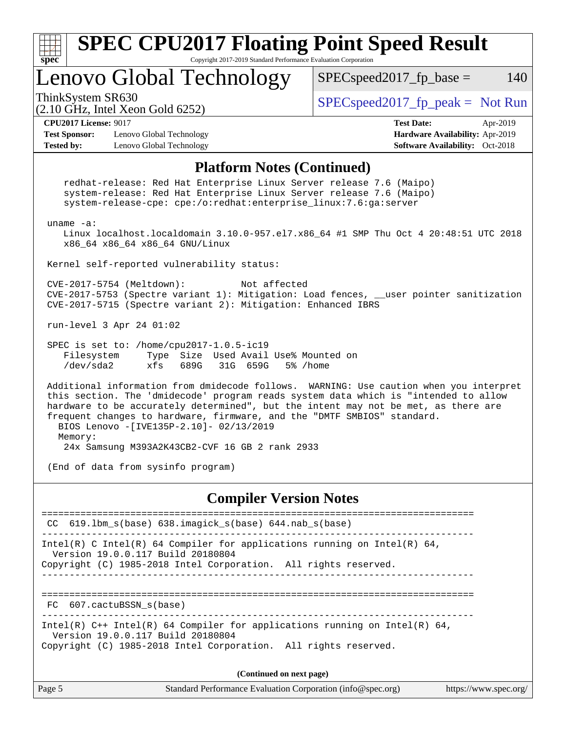| <b>SPEC CPU2017 Floating Point Speed Result</b><br>spec<br>Copyright 2017-2019 Standard Performance Evaluation Corporation                                                                                                                                                                                                                                                                           |                                                                                                            |
|------------------------------------------------------------------------------------------------------------------------------------------------------------------------------------------------------------------------------------------------------------------------------------------------------------------------------------------------------------------------------------------------------|------------------------------------------------------------------------------------------------------------|
| Lenovo Global Technology                                                                                                                                                                                                                                                                                                                                                                             | $SPEC speed2017fr base =$<br>140                                                                           |
| ThinkSystem SR630<br>(2.10 GHz, Intel Xeon Gold 6252)                                                                                                                                                                                                                                                                                                                                                | $SPEC speed2017fr peak = Not Run$                                                                          |
| <b>CPU2017 License: 9017</b><br><b>Test Sponsor:</b><br>Lenovo Global Technology<br><b>Tested by:</b><br>Lenovo Global Technology                                                                                                                                                                                                                                                                    | <b>Test Date:</b><br>Apr-2019<br>Hardware Availability: Apr-2019<br><b>Software Availability:</b> Oct-2018 |
| <b>Platform Notes (Continued)</b>                                                                                                                                                                                                                                                                                                                                                                    |                                                                                                            |
| redhat-release: Red Hat Enterprise Linux Server release 7.6 (Maipo)<br>system-release: Red Hat Enterprise Linux Server release 7.6 (Maipo)<br>system-release-cpe: cpe:/o:redhat:enterprise_linux:7.6:ga:server                                                                                                                                                                                       |                                                                                                            |
| uname $-a$ :<br>Linux localhost.localdomain 3.10.0-957.el7.x86_64 #1 SMP Thu Oct 4 20:48:51 UTC 2018<br>x86_64 x86_64 x86_64 GNU/Linux                                                                                                                                                                                                                                                               |                                                                                                            |
| Kernel self-reported vulnerability status:                                                                                                                                                                                                                                                                                                                                                           |                                                                                                            |
| CVE-2017-5754 (Meltdown):<br>Not affected<br>CVE-2017-5753 (Spectre variant 1): Mitigation: Load fences, __user pointer sanitization<br>CVE-2017-5715 (Spectre variant 2): Mitigation: Enhanced IBRS                                                                                                                                                                                                 |                                                                                                            |
| run-level 3 Apr 24 01:02                                                                                                                                                                                                                                                                                                                                                                             |                                                                                                            |
| SPEC is set to: /home/cpu2017-1.0.5-ic19<br>Type Size Used Avail Use% Mounted on<br>Filesystem<br>/dev/sda2<br>689G<br>31G 659G<br>5% /home<br>xfs                                                                                                                                                                                                                                                   |                                                                                                            |
| Additional information from dmidecode follows. WARNING: Use caution when you interpret<br>this section. The 'dmidecode' program reads system data which is "intended to allow<br>hardware to be accurately determined", but the intent may not be met, as there are<br>frequent changes to hardware, firmware, and the "DMTF SMBIOS" standard.<br>BIOS Lenovo -[IVE135P-2.10]- 02/13/2019<br>Memory: |                                                                                                            |
| 24x Samsung M393A2K43CB2-CVF 16 GB 2 rank 2933                                                                                                                                                                                                                                                                                                                                                       |                                                                                                            |
| (End of data from sysinfo program)                                                                                                                                                                                                                                                                                                                                                                   |                                                                                                            |
| <b>Compiler Version Notes</b>                                                                                                                                                                                                                                                                                                                                                                        |                                                                                                            |
| ----------------------------<br>$CC$ 619.1bm $s$ (base) 638.imagick $s$ (base) 644.nab $s$ (base)                                                                                                                                                                                                                                                                                                    | =============================                                                                              |
| Intel(R) C Intel(R) 64 Compiler for applications running on Intel(R) 64,<br>Version 19.0.0.117 Build 20180804<br>Copyright (C) 1985-2018 Intel Corporation. All rights reserved.<br>______________________                                                                                                                                                                                           |                                                                                                            |
| FC 607.cactuBSSN s(base)<br>____________________________                                                                                                                                                                                                                                                                                                                                             |                                                                                                            |
| Intel(R) $C++$ Intel(R) 64 Compiler for applications running on Intel(R) 64,<br>Version 19.0.0.117 Build 20180804<br>Copyright (C) 1985-2018 Intel Corporation. All rights reserved.                                                                                                                                                                                                                 |                                                                                                            |

**(Continued on next page)**

| $\vert$ Page 5 | Standard Performance Evaluation Corporation (info@spec.org) | https://www.spec.org/ |
|----------------|-------------------------------------------------------------|-----------------------|
|----------------|-------------------------------------------------------------|-----------------------|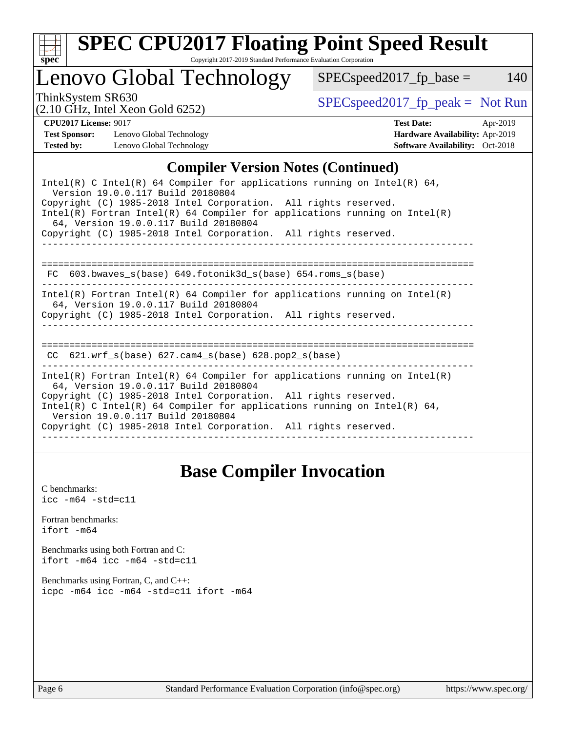

# **[SPEC CPU2017 Floating Point Speed Result](http://www.spec.org/auto/cpu2017/Docs/result-fields.html#SPECCPU2017FloatingPointSpeedResult)**

Copyright 2017-2019 Standard Performance Evaluation Corporation

Lenovo Global Technology

ThinkSystem SR630<br>  $(2.10 \text{ GHz. Intel Yoon Gold } 6252)$  [SPECspeed2017\\_fp\\_peak =](http://www.spec.org/auto/cpu2017/Docs/result-fields.html#SPECspeed2017fppeak) Not Run

 $SPEC speed2017_fp\_base = 140$ 

(2.10 GHz, Intel Xeon Gold 6252)

**[CPU2017 License:](http://www.spec.org/auto/cpu2017/Docs/result-fields.html#CPU2017License)** 9017 **[Test Date:](http://www.spec.org/auto/cpu2017/Docs/result-fields.html#TestDate)** Apr-2019 **[Test Sponsor:](http://www.spec.org/auto/cpu2017/Docs/result-fields.html#TestSponsor)** Lenovo Global Technology **[Hardware Availability:](http://www.spec.org/auto/cpu2017/Docs/result-fields.html#HardwareAvailability)** Apr-2019 **[Tested by:](http://www.spec.org/auto/cpu2017/Docs/result-fields.html#Testedby)** Lenovo Global Technology **[Software Availability:](http://www.spec.org/auto/cpu2017/Docs/result-fields.html#SoftwareAvailability)** Oct-2018

#### **[Compiler Version Notes \(Continued\)](http://www.spec.org/auto/cpu2017/Docs/result-fields.html#CompilerVersionNotes)**

| Intel(R) C Intel(R) 64 Compiler for applications running on Intel(R) 64,<br>Version 19.0.0.117 Build 20180804<br>Copyright (C) 1985-2018 Intel Corporation. All rights reserved.<br>Intel(R) Fortran Intel(R) 64 Compiler for applications running on Intel(R)<br>64, Version 19.0.0.117 Build 20180804<br>Copyright (C) 1985-2018 Intel Corporation. All rights reserved.   |
|------------------------------------------------------------------------------------------------------------------------------------------------------------------------------------------------------------------------------------------------------------------------------------------------------------------------------------------------------------------------------|
| 603.bwaves s(base) 649.fotonik3d s(base) 654.roms s(base)<br>FC                                                                                                                                                                                                                                                                                                              |
| $Intel(R)$ Fortran Intel(R) 64 Compiler for applications running on Intel(R)<br>64, Version 19.0.0.117 Build 20180804<br>Copyright (C) 1985-2018 Intel Corporation. All rights reserved.                                                                                                                                                                                     |
| 621.wrf $s(base)$ 627.cam4 $s(base)$ 628.pop2 $s(base)$<br>CC.                                                                                                                                                                                                                                                                                                               |
| $Intel(R)$ Fortran Intel(R) 64 Compiler for applications running on Intel(R)<br>64, Version 19.0.0.117 Build 20180804<br>Copyright (C) 1985-2018 Intel Corporation. All rights reserved.<br>Intel(R) C Intel(R) 64 Compiler for applications running on Intel(R) 64,<br>Version 19.0.0.117 Build 20180804<br>Copyright (C) 1985-2018 Intel Corporation. All rights reserved. |

## **[Base Compiler Invocation](http://www.spec.org/auto/cpu2017/Docs/result-fields.html#BaseCompilerInvocation)**

[C benchmarks](http://www.spec.org/auto/cpu2017/Docs/result-fields.html#Cbenchmarks):  $\text{icc}$  -m64 -std=c11 [Fortran benchmarks](http://www.spec.org/auto/cpu2017/Docs/result-fields.html#Fortranbenchmarks): [ifort -m64](http://www.spec.org/cpu2017/results/res2019q2/cpu2017-20190429-12959.flags.html#user_FCbase_intel_ifort_64bit_24f2bb282fbaeffd6157abe4f878425411749daecae9a33200eee2bee2fe76f3b89351d69a8130dd5949958ce389cf37ff59a95e7a40d588e8d3a57e0c3fd751) [Benchmarks using both Fortran and C](http://www.spec.org/auto/cpu2017/Docs/result-fields.html#BenchmarksusingbothFortranandC): [ifort -m64](http://www.spec.org/cpu2017/results/res2019q2/cpu2017-20190429-12959.flags.html#user_CC_FCbase_intel_ifort_64bit_24f2bb282fbaeffd6157abe4f878425411749daecae9a33200eee2bee2fe76f3b89351d69a8130dd5949958ce389cf37ff59a95e7a40d588e8d3a57e0c3fd751) [icc -m64 -std=c11](http://www.spec.org/cpu2017/results/res2019q2/cpu2017-20190429-12959.flags.html#user_CC_FCbase_intel_icc_64bit_c11_33ee0cdaae7deeeab2a9725423ba97205ce30f63b9926c2519791662299b76a0318f32ddfffdc46587804de3178b4f9328c46fa7c2b0cd779d7a61945c91cd35) [Benchmarks using Fortran, C, and C++:](http://www.spec.org/auto/cpu2017/Docs/result-fields.html#BenchmarksusingFortranCandCXX) [icpc -m64](http://www.spec.org/cpu2017/results/res2019q2/cpu2017-20190429-12959.flags.html#user_CC_CXX_FCbase_intel_icpc_64bit_4ecb2543ae3f1412ef961e0650ca070fec7b7afdcd6ed48761b84423119d1bf6bdf5cad15b44d48e7256388bc77273b966e5eb805aefd121eb22e9299b2ec9d9) [icc -m64 -std=c11](http://www.spec.org/cpu2017/results/res2019q2/cpu2017-20190429-12959.flags.html#user_CC_CXX_FCbase_intel_icc_64bit_c11_33ee0cdaae7deeeab2a9725423ba97205ce30f63b9926c2519791662299b76a0318f32ddfffdc46587804de3178b4f9328c46fa7c2b0cd779d7a61945c91cd35) [ifort -m64](http://www.spec.org/cpu2017/results/res2019q2/cpu2017-20190429-12959.flags.html#user_CC_CXX_FCbase_intel_ifort_64bit_24f2bb282fbaeffd6157abe4f878425411749daecae9a33200eee2bee2fe76f3b89351d69a8130dd5949958ce389cf37ff59a95e7a40d588e8d3a57e0c3fd751)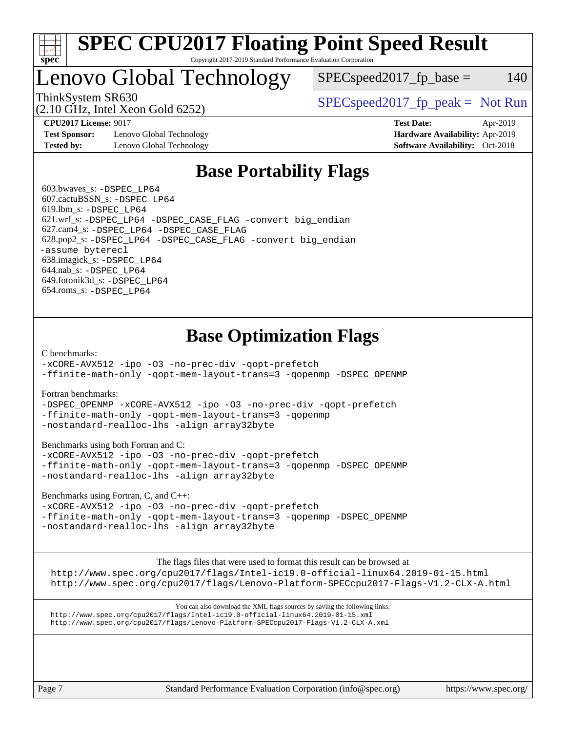

#### **[SPEC CPU2017 Floating Point Speed Result](http://www.spec.org/auto/cpu2017/Docs/result-fields.html#SPECCPU2017FloatingPointSpeedResult)** Copyright 2017-2019 Standard Performance Evaluation Corporation

# Lenovo Global Technology

 $SPEC speed2017<sub>fp</sub> base = 140$ 

(2.10 GHz, Intel Xeon Gold 6252)

ThinkSystem SR630  $SPEC speed2017$  [p\_peak = Not Run

**[Test Sponsor:](http://www.spec.org/auto/cpu2017/Docs/result-fields.html#TestSponsor)** Lenovo Global Technology **[Hardware Availability:](http://www.spec.org/auto/cpu2017/Docs/result-fields.html#HardwareAvailability)** Apr-2019 **[Tested by:](http://www.spec.org/auto/cpu2017/Docs/result-fields.html#Testedby)** Lenovo Global Technology **[Software Availability:](http://www.spec.org/auto/cpu2017/Docs/result-fields.html#SoftwareAvailability)** Oct-2018

**[CPU2017 License:](http://www.spec.org/auto/cpu2017/Docs/result-fields.html#CPU2017License)** 9017 **[Test Date:](http://www.spec.org/auto/cpu2017/Docs/result-fields.html#TestDate)** Apr-2019

# **[Base Portability Flags](http://www.spec.org/auto/cpu2017/Docs/result-fields.html#BasePortabilityFlags)**

 603.bwaves\_s: [-DSPEC\\_LP64](http://www.spec.org/cpu2017/results/res2019q2/cpu2017-20190429-12959.flags.html#suite_basePORTABILITY603_bwaves_s_DSPEC_LP64) 607.cactuBSSN\_s: [-DSPEC\\_LP64](http://www.spec.org/cpu2017/results/res2019q2/cpu2017-20190429-12959.flags.html#suite_basePORTABILITY607_cactuBSSN_s_DSPEC_LP64) 619.lbm\_s: [-DSPEC\\_LP64](http://www.spec.org/cpu2017/results/res2019q2/cpu2017-20190429-12959.flags.html#suite_basePORTABILITY619_lbm_s_DSPEC_LP64) 621.wrf\_s: [-DSPEC\\_LP64](http://www.spec.org/cpu2017/results/res2019q2/cpu2017-20190429-12959.flags.html#suite_basePORTABILITY621_wrf_s_DSPEC_LP64) [-DSPEC\\_CASE\\_FLAG](http://www.spec.org/cpu2017/results/res2019q2/cpu2017-20190429-12959.flags.html#b621.wrf_s_baseCPORTABILITY_DSPEC_CASE_FLAG) [-convert big\\_endian](http://www.spec.org/cpu2017/results/res2019q2/cpu2017-20190429-12959.flags.html#user_baseFPORTABILITY621_wrf_s_convert_big_endian_c3194028bc08c63ac5d04de18c48ce6d347e4e562e8892b8bdbdc0214820426deb8554edfa529a3fb25a586e65a3d812c835984020483e7e73212c4d31a38223) 627.cam4\_s: [-DSPEC\\_LP64](http://www.spec.org/cpu2017/results/res2019q2/cpu2017-20190429-12959.flags.html#suite_basePORTABILITY627_cam4_s_DSPEC_LP64) [-DSPEC\\_CASE\\_FLAG](http://www.spec.org/cpu2017/results/res2019q2/cpu2017-20190429-12959.flags.html#b627.cam4_s_baseCPORTABILITY_DSPEC_CASE_FLAG) 628.pop2\_s: [-DSPEC\\_LP64](http://www.spec.org/cpu2017/results/res2019q2/cpu2017-20190429-12959.flags.html#suite_basePORTABILITY628_pop2_s_DSPEC_LP64) [-DSPEC\\_CASE\\_FLAG](http://www.spec.org/cpu2017/results/res2019q2/cpu2017-20190429-12959.flags.html#b628.pop2_s_baseCPORTABILITY_DSPEC_CASE_FLAG) [-convert big\\_endian](http://www.spec.org/cpu2017/results/res2019q2/cpu2017-20190429-12959.flags.html#user_baseFPORTABILITY628_pop2_s_convert_big_endian_c3194028bc08c63ac5d04de18c48ce6d347e4e562e8892b8bdbdc0214820426deb8554edfa529a3fb25a586e65a3d812c835984020483e7e73212c4d31a38223) [-assume byterecl](http://www.spec.org/cpu2017/results/res2019q2/cpu2017-20190429-12959.flags.html#user_baseFPORTABILITY628_pop2_s_assume_byterecl_7e47d18b9513cf18525430bbf0f2177aa9bf368bc7a059c09b2c06a34b53bd3447c950d3f8d6c70e3faf3a05c8557d66a5798b567902e8849adc142926523472) 638.imagick\_s: [-DSPEC\\_LP64](http://www.spec.org/cpu2017/results/res2019q2/cpu2017-20190429-12959.flags.html#suite_basePORTABILITY638_imagick_s_DSPEC_LP64) 644.nab\_s: [-DSPEC\\_LP64](http://www.spec.org/cpu2017/results/res2019q2/cpu2017-20190429-12959.flags.html#suite_basePORTABILITY644_nab_s_DSPEC_LP64) 649.fotonik3d\_s: [-DSPEC\\_LP64](http://www.spec.org/cpu2017/results/res2019q2/cpu2017-20190429-12959.flags.html#suite_basePORTABILITY649_fotonik3d_s_DSPEC_LP64) 654.roms\_s: [-DSPEC\\_LP64](http://www.spec.org/cpu2017/results/res2019q2/cpu2017-20190429-12959.flags.html#suite_basePORTABILITY654_roms_s_DSPEC_LP64)

# **[Base Optimization Flags](http://www.spec.org/auto/cpu2017/Docs/result-fields.html#BaseOptimizationFlags)**

[C benchmarks](http://www.spec.org/auto/cpu2017/Docs/result-fields.html#Cbenchmarks):

[-xCORE-AVX512](http://www.spec.org/cpu2017/results/res2019q2/cpu2017-20190429-12959.flags.html#user_CCbase_f-xCORE-AVX512) [-ipo](http://www.spec.org/cpu2017/results/res2019q2/cpu2017-20190429-12959.flags.html#user_CCbase_f-ipo) [-O3](http://www.spec.org/cpu2017/results/res2019q2/cpu2017-20190429-12959.flags.html#user_CCbase_f-O3) [-no-prec-div](http://www.spec.org/cpu2017/results/res2019q2/cpu2017-20190429-12959.flags.html#user_CCbase_f-no-prec-div) [-qopt-prefetch](http://www.spec.org/cpu2017/results/res2019q2/cpu2017-20190429-12959.flags.html#user_CCbase_f-qopt-prefetch) [-ffinite-math-only](http://www.spec.org/cpu2017/results/res2019q2/cpu2017-20190429-12959.flags.html#user_CCbase_f_finite_math_only_cb91587bd2077682c4b38af759c288ed7c732db004271a9512da14a4f8007909a5f1427ecbf1a0fb78ff2a814402c6114ac565ca162485bbcae155b5e4258871) [-qopt-mem-layout-trans=3](http://www.spec.org/cpu2017/results/res2019q2/cpu2017-20190429-12959.flags.html#user_CCbase_f-qopt-mem-layout-trans_de80db37974c74b1f0e20d883f0b675c88c3b01e9d123adea9b28688d64333345fb62bc4a798493513fdb68f60282f9a726aa07f478b2f7113531aecce732043) [-qopenmp](http://www.spec.org/cpu2017/results/res2019q2/cpu2017-20190429-12959.flags.html#user_CCbase_qopenmp_16be0c44f24f464004c6784a7acb94aca937f053568ce72f94b139a11c7c168634a55f6653758ddd83bcf7b8463e8028bb0b48b77bcddc6b78d5d95bb1df2967) [-DSPEC\\_OPENMP](http://www.spec.org/cpu2017/results/res2019q2/cpu2017-20190429-12959.flags.html#suite_CCbase_DSPEC_OPENMP)

[Fortran benchmarks](http://www.spec.org/auto/cpu2017/Docs/result-fields.html#Fortranbenchmarks):

[-DSPEC\\_OPENMP](http://www.spec.org/cpu2017/results/res2019q2/cpu2017-20190429-12959.flags.html#suite_FCbase_DSPEC_OPENMP) [-xCORE-AVX512](http://www.spec.org/cpu2017/results/res2019q2/cpu2017-20190429-12959.flags.html#user_FCbase_f-xCORE-AVX512) [-ipo](http://www.spec.org/cpu2017/results/res2019q2/cpu2017-20190429-12959.flags.html#user_FCbase_f-ipo) [-O3](http://www.spec.org/cpu2017/results/res2019q2/cpu2017-20190429-12959.flags.html#user_FCbase_f-O3) [-no-prec-div](http://www.spec.org/cpu2017/results/res2019q2/cpu2017-20190429-12959.flags.html#user_FCbase_f-no-prec-div) [-qopt-prefetch](http://www.spec.org/cpu2017/results/res2019q2/cpu2017-20190429-12959.flags.html#user_FCbase_f-qopt-prefetch) [-ffinite-math-only](http://www.spec.org/cpu2017/results/res2019q2/cpu2017-20190429-12959.flags.html#user_FCbase_f_finite_math_only_cb91587bd2077682c4b38af759c288ed7c732db004271a9512da14a4f8007909a5f1427ecbf1a0fb78ff2a814402c6114ac565ca162485bbcae155b5e4258871) [-qopt-mem-layout-trans=3](http://www.spec.org/cpu2017/results/res2019q2/cpu2017-20190429-12959.flags.html#user_FCbase_f-qopt-mem-layout-trans_de80db37974c74b1f0e20d883f0b675c88c3b01e9d123adea9b28688d64333345fb62bc4a798493513fdb68f60282f9a726aa07f478b2f7113531aecce732043) [-qopenmp](http://www.spec.org/cpu2017/results/res2019q2/cpu2017-20190429-12959.flags.html#user_FCbase_qopenmp_16be0c44f24f464004c6784a7acb94aca937f053568ce72f94b139a11c7c168634a55f6653758ddd83bcf7b8463e8028bb0b48b77bcddc6b78d5d95bb1df2967) [-nostandard-realloc-lhs](http://www.spec.org/cpu2017/results/res2019q2/cpu2017-20190429-12959.flags.html#user_FCbase_f_2003_std_realloc_82b4557e90729c0f113870c07e44d33d6f5a304b4f63d4c15d2d0f1fab99f5daaed73bdb9275d9ae411527f28b936061aa8b9c8f2d63842963b95c9dd6426b8a) [-align array32byte](http://www.spec.org/cpu2017/results/res2019q2/cpu2017-20190429-12959.flags.html#user_FCbase_align_array32byte_b982fe038af199962ba9a80c053b8342c548c85b40b8e86eb3cc33dee0d7986a4af373ac2d51c3f7cf710a18d62fdce2948f201cd044323541f22fc0fffc51b6)

[Benchmarks using both Fortran and C](http://www.spec.org/auto/cpu2017/Docs/result-fields.html#BenchmarksusingbothFortranandC):

[-xCORE-AVX512](http://www.spec.org/cpu2017/results/res2019q2/cpu2017-20190429-12959.flags.html#user_CC_FCbase_f-xCORE-AVX512) [-ipo](http://www.spec.org/cpu2017/results/res2019q2/cpu2017-20190429-12959.flags.html#user_CC_FCbase_f-ipo) [-O3](http://www.spec.org/cpu2017/results/res2019q2/cpu2017-20190429-12959.flags.html#user_CC_FCbase_f-O3) [-no-prec-div](http://www.spec.org/cpu2017/results/res2019q2/cpu2017-20190429-12959.flags.html#user_CC_FCbase_f-no-prec-div) [-qopt-prefetch](http://www.spec.org/cpu2017/results/res2019q2/cpu2017-20190429-12959.flags.html#user_CC_FCbase_f-qopt-prefetch) [-ffinite-math-only](http://www.spec.org/cpu2017/results/res2019q2/cpu2017-20190429-12959.flags.html#user_CC_FCbase_f_finite_math_only_cb91587bd2077682c4b38af759c288ed7c732db004271a9512da14a4f8007909a5f1427ecbf1a0fb78ff2a814402c6114ac565ca162485bbcae155b5e4258871) [-qopt-mem-layout-trans=3](http://www.spec.org/cpu2017/results/res2019q2/cpu2017-20190429-12959.flags.html#user_CC_FCbase_f-qopt-mem-layout-trans_de80db37974c74b1f0e20d883f0b675c88c3b01e9d123adea9b28688d64333345fb62bc4a798493513fdb68f60282f9a726aa07f478b2f7113531aecce732043) [-qopenmp](http://www.spec.org/cpu2017/results/res2019q2/cpu2017-20190429-12959.flags.html#user_CC_FCbase_qopenmp_16be0c44f24f464004c6784a7acb94aca937f053568ce72f94b139a11c7c168634a55f6653758ddd83bcf7b8463e8028bb0b48b77bcddc6b78d5d95bb1df2967) [-DSPEC\\_OPENMP](http://www.spec.org/cpu2017/results/res2019q2/cpu2017-20190429-12959.flags.html#suite_CC_FCbase_DSPEC_OPENMP) [-nostandard-realloc-lhs](http://www.spec.org/cpu2017/results/res2019q2/cpu2017-20190429-12959.flags.html#user_CC_FCbase_f_2003_std_realloc_82b4557e90729c0f113870c07e44d33d6f5a304b4f63d4c15d2d0f1fab99f5daaed73bdb9275d9ae411527f28b936061aa8b9c8f2d63842963b95c9dd6426b8a) [-align array32byte](http://www.spec.org/cpu2017/results/res2019q2/cpu2017-20190429-12959.flags.html#user_CC_FCbase_align_array32byte_b982fe038af199962ba9a80c053b8342c548c85b40b8e86eb3cc33dee0d7986a4af373ac2d51c3f7cf710a18d62fdce2948f201cd044323541f22fc0fffc51b6)

[Benchmarks using Fortran, C, and C++:](http://www.spec.org/auto/cpu2017/Docs/result-fields.html#BenchmarksusingFortranCandCXX)

[-xCORE-AVX512](http://www.spec.org/cpu2017/results/res2019q2/cpu2017-20190429-12959.flags.html#user_CC_CXX_FCbase_f-xCORE-AVX512) [-ipo](http://www.spec.org/cpu2017/results/res2019q2/cpu2017-20190429-12959.flags.html#user_CC_CXX_FCbase_f-ipo) [-O3](http://www.spec.org/cpu2017/results/res2019q2/cpu2017-20190429-12959.flags.html#user_CC_CXX_FCbase_f-O3) [-no-prec-div](http://www.spec.org/cpu2017/results/res2019q2/cpu2017-20190429-12959.flags.html#user_CC_CXX_FCbase_f-no-prec-div) [-qopt-prefetch](http://www.spec.org/cpu2017/results/res2019q2/cpu2017-20190429-12959.flags.html#user_CC_CXX_FCbase_f-qopt-prefetch) [-ffinite-math-only](http://www.spec.org/cpu2017/results/res2019q2/cpu2017-20190429-12959.flags.html#user_CC_CXX_FCbase_f_finite_math_only_cb91587bd2077682c4b38af759c288ed7c732db004271a9512da14a4f8007909a5f1427ecbf1a0fb78ff2a814402c6114ac565ca162485bbcae155b5e4258871) [-qopt-mem-layout-trans=3](http://www.spec.org/cpu2017/results/res2019q2/cpu2017-20190429-12959.flags.html#user_CC_CXX_FCbase_f-qopt-mem-layout-trans_de80db37974c74b1f0e20d883f0b675c88c3b01e9d123adea9b28688d64333345fb62bc4a798493513fdb68f60282f9a726aa07f478b2f7113531aecce732043) [-qopenmp](http://www.spec.org/cpu2017/results/res2019q2/cpu2017-20190429-12959.flags.html#user_CC_CXX_FCbase_qopenmp_16be0c44f24f464004c6784a7acb94aca937f053568ce72f94b139a11c7c168634a55f6653758ddd83bcf7b8463e8028bb0b48b77bcddc6b78d5d95bb1df2967) [-DSPEC\\_OPENMP](http://www.spec.org/cpu2017/results/res2019q2/cpu2017-20190429-12959.flags.html#suite_CC_CXX_FCbase_DSPEC_OPENMP) [-nostandard-realloc-lhs](http://www.spec.org/cpu2017/results/res2019q2/cpu2017-20190429-12959.flags.html#user_CC_CXX_FCbase_f_2003_std_realloc_82b4557e90729c0f113870c07e44d33d6f5a304b4f63d4c15d2d0f1fab99f5daaed73bdb9275d9ae411527f28b936061aa8b9c8f2d63842963b95c9dd6426b8a) [-align array32byte](http://www.spec.org/cpu2017/results/res2019q2/cpu2017-20190429-12959.flags.html#user_CC_CXX_FCbase_align_array32byte_b982fe038af199962ba9a80c053b8342c548c85b40b8e86eb3cc33dee0d7986a4af373ac2d51c3f7cf710a18d62fdce2948f201cd044323541f22fc0fffc51b6)

The flags files that were used to format this result can be browsed at

<http://www.spec.org/cpu2017/flags/Intel-ic19.0-official-linux64.2019-01-15.html> <http://www.spec.org/cpu2017/flags/Lenovo-Platform-SPECcpu2017-Flags-V1.2-CLX-A.html>

You can also download the XML flags sources by saving the following links: <http://www.spec.org/cpu2017/flags/Intel-ic19.0-official-linux64.2019-01-15.xml> <http://www.spec.org/cpu2017/flags/Lenovo-Platform-SPECcpu2017-Flags-V1.2-CLX-A.xml>